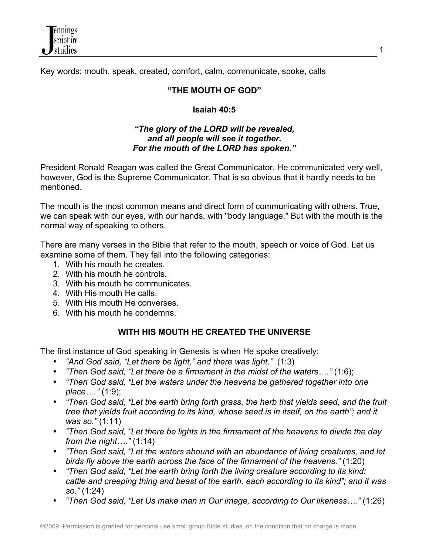

Key words: mouth, speak, created, comfort, calm, communicate, spoke, calls

### **"THE MOUTH OF GOD"**

### **Isaiah 40:5**

### *"The glory of the LORD will be revealed, and all people will see it together. For the mouth of the LORD has spoken."*

President Ronald Reagan was called the Great Communicator. He communicated very well, however, God is the Supreme Communicator. That is so obvious that it hardly needs to be mentioned.

The mouth is the most common means and direct form of communicating with others. True, we can speak with our eyes, with our hands, with "body language." But with the mouth is the normal way of speaking to others.

There are many verses in the Bible that refer to the mouth, speech or voice of God. Let us examine some of them. They fall into the following categories:

- 1. With his mouth he creates.
- 2. With his mouth he controls.
- 3. With his mouth he communicates.
- 4. With His mouth He calls.
- 5. With His mouth He converses.
- 6. With his mouth he condemns.

### **WITH HIS MOUTH HE CREATED THE UNIVERSE**

The first instance of God speaking in Genesis is when He spoke creatively:

- *"And God said, "Let there be light," and there was light."* (1:3)
- *"Then God said, "Let there be a firmament in the midst of the waters…."* (1:6);
- *"Then God said, "Let the waters under the heavens be gathered together into one place…."* (1:9);
- *"Then God said, "Let the earth bring forth grass, the herb that yields seed, and the fruit tree that yields fruit according to its kind, whose seed is in itself, on the earth"; and it was so."* (1:11)
- *"Then God said, "Let there be lights in the firmament of the heavens to divide the day from the night…."* (1:14)
- *"Then God said, "Let the waters abound with an abundance of living creatures, and let birds fly above the earth across the face of the firmament of the heavens."* (1:20)
- *"Then God said, "Let the earth bring forth the living creature according to its kind: cattle and creeping thing and beast of the earth, each according to its kind"; and it was so."* (1:24)
- *"Then God said, "Let Us make man in Our image, according to Our likeness…."* (1:26)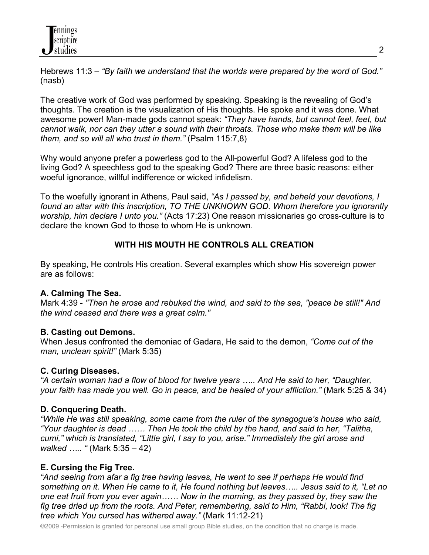Hebrews 11:3 – *"By faith we understand that the worlds were prepared by the word of God."* (nasb)

The creative work of God was performed by speaking. Speaking is the revealing of God's thoughts. The creation is the visualization of His thoughts. He spoke and it was done. What awesome power! Man-made gods cannot speak: *"They have hands, but cannot feel, feet, but cannot walk, nor can they utter a sound with their throats. Those who make them will be like them, and so will all who trust in them."* (Psalm 115:7,8)

Why would anyone prefer a powerless god to the All-powerful God? A lifeless god to the living God? A speechless god to the speaking God? There are three basic reasons: either woeful ignorance, willful indifference or wicked infidelism.

To the woefully ignorant in Athens, Paul said, *"As I passed by, and beheld your devotions, I found an altar with this inscription, TO THE UNKNOWN GOD. Whom therefore you ignorantly worship, him declare I unto you."* (Acts 17:23) One reason missionaries go cross-culture is to declare the known God to those to whom He is unknown.

# **WITH HIS MOUTH HE CONTROLS ALL CREATION**

By speaking, He controls His creation. Several examples which show His sovereign power are as follows:

### **A. Calming The Sea.**

Mark 4:39 - *"Then he arose and rebuked the wind, and said to the sea, "peace be still!" And the wind ceased and there was a great calm."*

# **B. Casting out Demons.**

When Jesus confronted the demoniac of Gadara, He said to the demon, *"Come out of the man, unclean spirit!"* (Mark 5:35)

### **C. Curing Diseases.**

*"A certain woman had a flow of blood for twelve years ….. And He said to her, "Daughter, your faith has made you well. Go in peace, and be healed of your affliction."* (Mark 5:25 & 34)

# **D. Conquering Death.**

*"While He was still speaking, some came from the ruler of the synagogue's house who said, "Your daughter is dead …… Then He took the child by the hand, and said to her, "Talitha, cumi," which is translated, "Little girl, I say to you, arise." Immediately the girl arose and walked ….. "* (Mark 5:35 – 42)

# **E. Cursing the Fig Tree.**

*"And seeing from afar a fig tree having leaves, He went to see if perhaps He would find something on it. When He came to it, He found nothing but leaves….. Jesus said to it, "Let no one eat fruit from you ever again…… Now in the morning, as they passed by, they saw the fig tree dried up from the roots. And Peter, remembering, said to Him, "Rabbi, look! The fig tree which You cursed has withered away."* (Mark 11:12-21)

©2009 -Permission is granted for personal use small group Bible studies, on the condition that no charge is made.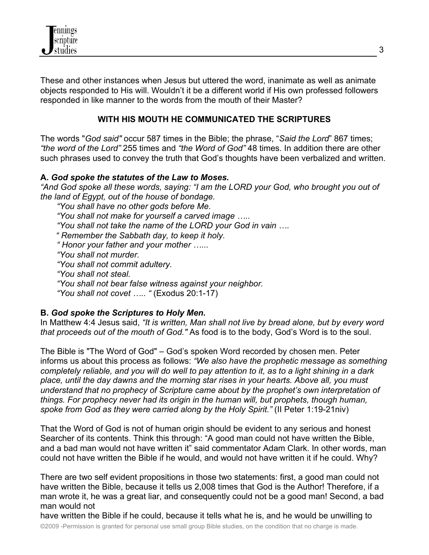

These and other instances when Jesus but uttered the word, inanimate as well as animate objects responded to His will. Wouldn't it be a different world if His own professed followers responded in like manner to the words from the mouth of their Master?

### **WITH HIS MOUTH HE COMMUNICATED THE SCRIPTURES**

The words "*God said"* occur 587 times in the Bible; the phrase, "*Said the Lord*" 867 times; *"the word of the Lord"* 255 times and *"the Word of God"* 48 times. In addition there are other such phrases used to convey the truth that God's thoughts have been verbalized and written.

#### **A.** *God spoke the statutes of the Law to Moses.*

*"And God spoke all these words, saying: "I am the LORD your God, who brought you out of the land of Egypt, out of the house of bondage.* 

 *"You shall have no other gods before Me.* 

 *"You shall not make for yourself a carved image …..*

 *"You shall not take the name of the LORD your God in vain …. " Remember the Sabbath day, to keep it holy.* 

 *" Honor your father and your mother …...* 

 *"You shall not murder.* 

 *"You shall not commit adultery.* 

 *"You shall not steal.* 

 *"You shall not bear false witness against your neighbor.* 

 *"You shall not covet ….. "* (Exodus 20:1-17)

#### **B.** *God spoke the Scriptures to Holy Men.*

In Matthew 4:4 Jesus said, *"It is written, Man shall not live by bread alone, but by every word that proceeds out of the mouth of God."* As food is to the body, God's Word is to the soul.

The Bible is "The Word of God" – God's spoken Word recorded by chosen men. Peter informs us about this process as follows: *"We also have the prophetic message as something completely reliable, and you will do well to pay attention to it, as to a light shining in a dark place, until the day dawns and the morning star rises in your hearts. Above all, you must understand that no prophecy of Scripture came about by the prophet's own interpretation of things. For prophecy never had its origin in the human will, but prophets, though human, spoke from God as they were carried along by the Holy Spirit."* (II Peter 1:19-21niv)

That the Word of God is not of human origin should be evident to any serious and honest Searcher of its contents. Think this through: "A good man could not have written the Bible, and a bad man would not have written it" said commentator Adam Clark. In other words, man could not have written the Bible if he would, and would not have written it if he could. Why?

There are two self evident propositions in those two statements: first, a good man could not have written the Bible, because it tells us 2,008 times that God is the Author! Therefore, if a man wrote it, he was a great liar, and consequently could not be a good man! Second, a bad man would not

©2009 -Permission is granted for personal use small group Bible studies, on the condition that no charge is made. have written the Bible if he could, because it tells what he is, and he would be unwilling to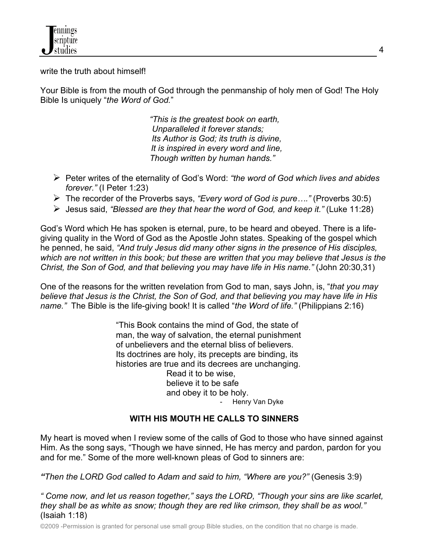

write the truth about himself!

Your Bible is from the mouth of God through the penmanship of holy men of God! The Holy Bible Is uniquely "*the Word of God.*"

> *"This is the greatest book on earth, Unparalleled it forever stands; Its Author is God; its truth is divine, It is inspired in every word and line, Though written by human hands."*

- Ø Peter writes of the eternality of God's Word: *"the word of God which lives and abides forever."* (I Peter 1:23)
- Ø The recorder of the Proverbs says, *"Every word of God is pure…."* (Proverbs 30:5)
- Ø Jesus said, *"Blessed are they that hear the word of God, and keep it."* (Luke 11:28)

God's Word which He has spoken is eternal, pure, to be heard and obeyed. There is a lifegiving quality in the Word of God as the Apostle John states. Speaking of the gospel which he penned, he said, *"And truly Jesus did many other signs in the presence of His disciples, which are not written in this book; but these are written that you may believe that Jesus is the Christ, the Son of God, and that believing you may have life in His name."* (John 20:30,31)

One of the reasons for the written revelation from God to man, says John, is, "*that you may believe that Jesus is the Christ, the Son of God, and that believing you may have life in His name."* The Bible is the life-giving book! It is called "*the Word of life."* (Philippians 2:16)

> "This Book contains the mind of God, the state of man, the way of salvation, the eternal punishment of unbelievers and the eternal bliss of believers. Its doctrines are holy, its precepts are binding, its histories are true and its decrees are unchanging. Read it to be wise, believe it to be safe and obey it to be holy. Henry Van Dyke

### **WITH HIS MOUTH HE CALLS TO SINNERS**

My heart is moved when I review some of the calls of God to those who have sinned against Him. As the song says, "Though we have sinned, He has mercy and pardon, pardon for you and for me." Some of the more well-known pleas of God to sinners are:

*"Then the LORD God called to Adam and said to him, "Where are you?"* (Genesis 3:9)

*" Come now, and let us reason together," says the LORD, "Though your sins are like scarlet, they shall be as white as snow; though they are red like crimson, they shall be as wool."* (Isaiah 1:18)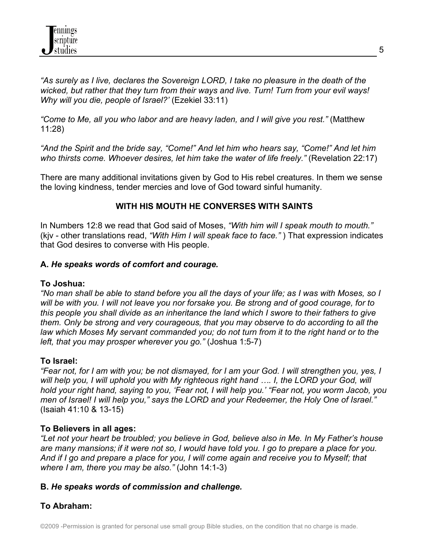*"As surely as I live, declares the Sovereign LORD, I take no pleasure in the death of the wicked, but rather that they turn from their ways and live. Turn! Turn from your evil ways! Why will you die, people of Israel?'* (Ezekiel 33:11)

*"Come to Me, all you who labor and are heavy laden, and I will give you rest."* (Matthew 11:28)

*"And the Spirit and the bride say, "Come!" And let him who hears say, "Come!" And let him who thirsts come. Whoever desires, let him take the water of life freely."* (Revelation 22:17)

There are many additional invitations given by God to His rebel creatures. In them we sense the loving kindness, tender mercies and love of God toward sinful humanity.

# **WITH HIS MOUTH HE CONVERSES WITH SAINTS**

In Numbers 12:8 we read that God said of Moses, *"With him will I speak mouth to mouth."*  (kjv - other translations read, *"With Him I will speak face to face."* ) That expression indicates that God desires to converse with His people.

### **A.** *He speaks words of comfort and courage.*

#### **To Joshua:**

*"No man shall be able to stand before you all the days of your life; as I was with Moses, so I will be with you. I will not leave you nor forsake you. Be strong and of good courage, for to this people you shall divide as an inheritance the land which I swore to their fathers to give them. Only be strong and very courageous, that you may observe to do according to all the law which Moses My servant commanded you; do not turn from it to the right hand or to the left, that you may prosper wherever you go."* (Joshua 1:5-7)

### **To Israel:**

*"Fear not, for I am with you; be not dismayed, for I am your God. I will strengthen you, yes, I will help you, I will uphold you with My righteous right hand …. I, the LORD your God, will hold your right hand, saying to you, 'Fear not, I will help you.' "Fear not, you worm Jacob, you men of Israel! I will help you," says the LORD and your Redeemer, the Holy One of Israel."* (Isaiah 41:10 & 13-15)

### **To Believers in all ages:**

*"Let not your heart be troubled; you believe in God, believe also in Me. In My Father's house are many mansions; if it were not so, I would have told you. I go to prepare a place for you. And if I go and prepare a place for you, I will come again and receive you to Myself; that where I am, there you may be also."* (John 14:1-3)

#### **B.** *He speaks words of commission and challenge.*

# **To Abraham:**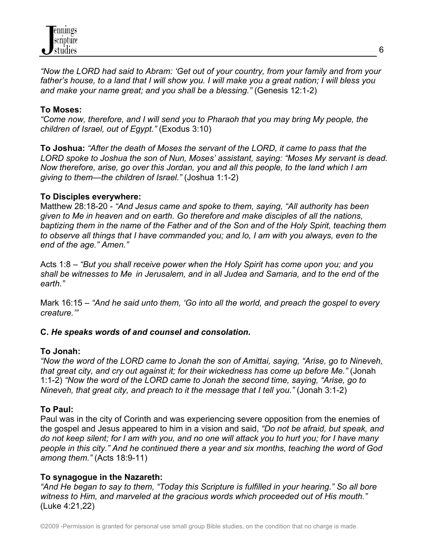

*"Now the LORD had said to Abram: 'Get out of your country, from your family and from your father's house, to a land that I will show you. I will make you a great nation; I will bless you and make your name great; and you shall be a blessing."* (Genesis 12:1-2)

### **To Moses:**

*"Come now, therefore, and I will send you to Pharaoh that you may bring My people, the children of Israel, out of Egypt."* (Exodus 3:10)

**To Joshua:** *"After the death of Moses the servant of the LORD, it came to pass that the LORD spoke to Joshua the son of Nun, Moses' assistant, saying: "Moses My servant is dead. Now therefore, arise, go over this Jordan, you and all this people, to the land which I am giving to them—the children of Israel."* (Joshua 1:1-2)

#### **To Disciples everywhere:**

Matthew 28:18-20 - *"And Jesus came and spoke to them, saying, "All authority has been given to Me in heaven and on earth. Go therefore and make disciples of all the nations, baptizing them in the name of the Father and of the Son and of the Holy Spirit, teaching them to observe all things that I have commanded you; and lo, I am with you always, even to the end of the age." Amen."*

Acts 1:8 – *"But you shall receive power when the Holy Spirit has come upon you; and you shall be witnesses to Me in Jerusalem, and in all Judea and Samaria, and to the end of the earth."*

Mark 16:15 – *"And he said unto them, 'Go into all the world, and preach the gospel to every creature.'"* 

#### **C.** *He speaks words of and counsel and consolation.*

#### **To Jonah:**

*"Now the word of the LORD came to Jonah the son of Amittai, saying, "Arise, go to Nineveh, that great city, and cry out against it; for their wickedness has come up before Me."* (Jonah 1:1-2) *"Now the word of the LORD came to Jonah the second time, saying, "Arise, go to Nineveh, that great city, and preach to it the message that I tell you."* (Jonah 3:1-2)

#### **To Paul:**

Paul was in the city of Corinth and was experiencing severe opposition from the enemies of the gospel and Jesus appeared to him in a vision and said, *"Do not be afraid, but speak, and do not keep silent; for I am with you, and no one will attack you to hurt you; for I have many people in this city." And he continued there a year and six months, teaching the word of God among them."* (Acts 18:9-11)

#### **To synagogue in the Nazareth:**

*"And He began to say to them, "Today this Scripture is fulfilled in your hearing." So all bore witness to Him, and marveled at the gracious words which proceeded out of His mouth."* (Luke 4:21,22)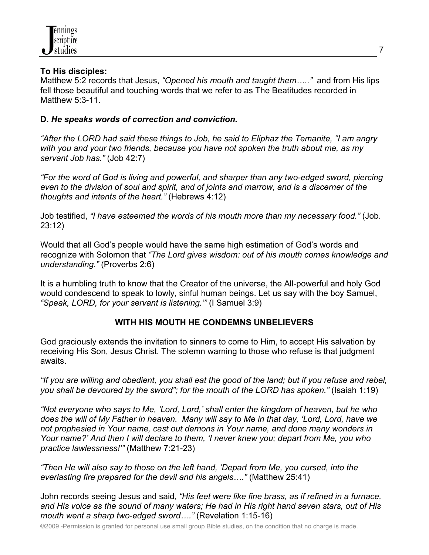

### **To His disciples:**

Matthew 5:2 records that Jesus, *"Opened his mouth and taught them….."* and from His lips fell those beautiful and touching words that we refer to as The Beatitudes recorded in Matthew 5:3-11.

### **D.** *He speaks words of correction and conviction.*

*"After the LORD had said these things to Job, he said to Eliphaz the Temanite, "I am angry with you and your two friends, because you have not spoken the truth about me, as my servant Job has."* (Job 42:7)

*"For the word of God is living and powerful, and sharper than any two-edged sword, piercing even to the division of soul and spirit, and of joints and marrow, and is a discerner of the thoughts and intents of the heart."* (Hebrews 4:12)

Job testified, *"I have esteemed the words of his mouth more than my necessary food."* (Job. 23:12)

Would that all God's people would have the same high estimation of God's words and recognize with Solomon that *"The Lord gives wisdom: out of his mouth comes knowledge and understanding."* (Proverbs 2:6)

It is a humbling truth to know that the Creator of the universe, the All-powerful and holy God would condescend to speak to lowly, sinful human beings. Let us say with the boy Samuel, *"Speak, LORD, for your servant is listening.'"* (I Samuel 3:9)

### **WITH HIS MOUTH HE CONDEMNS UNBELIEVERS**

God graciously extends the invitation to sinners to come to Him, to accept His salvation by receiving His Son, Jesus Christ. The solemn warning to those who refuse is that judgment awaits.

*"If you are willing and obedient, you shall eat the good of the land; but if you refuse and rebel, you shall be devoured by the sword"; for the mouth of the LORD has spoken."* (Isaiah 1:19)

*"Not everyone who says to Me, 'Lord, Lord,' shall enter the kingdom of heaven, but he who does the will of My Father in heaven. Many will say to Me in that day, 'Lord, Lord, have we not prophesied in Your name, cast out demons in Your name, and done many wonders in Your name?' And then I will declare to them, 'I never knew you; depart from Me, you who practice lawlessness!'"* (Matthew 7:21-23)

*"Then He will also say to those on the left hand, 'Depart from Me, you cursed, into the everlasting fire prepared for the devil and his angels…."* (Matthew 25:41)

John records seeing Jesus and said, *"His feet were like fine brass, as if refined in a furnace, and His voice as the sound of many waters; He had in His right hand seven stars, out of His mouth went a sharp two-edged sword…."* (Revelation 1:15-16)